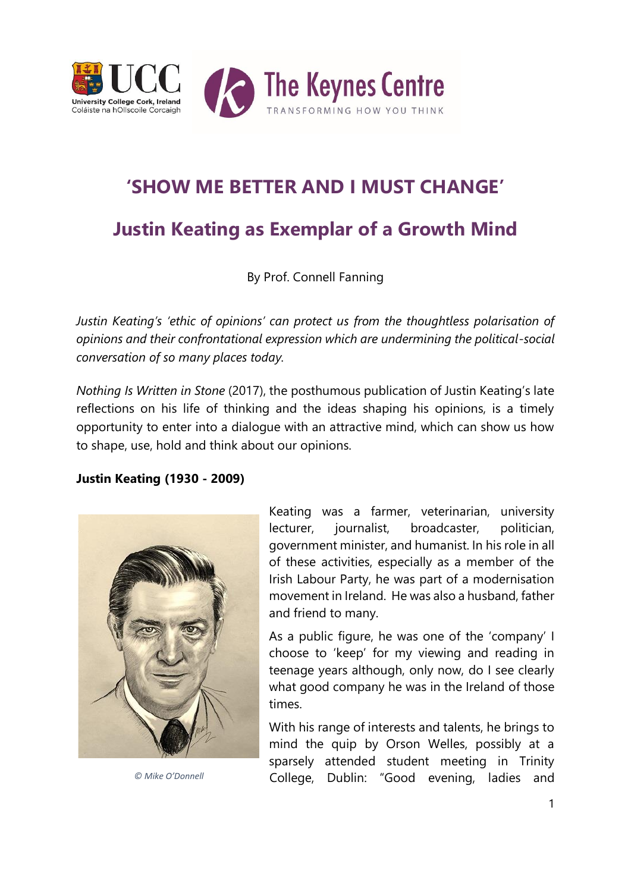

# **'SHOW ME BETTER AND I MUST CHANGE'**

## **Justin Keating as Exemplar of a Growth Mind**

By Prof. Connell Fanning

*Justin Keating's 'ethic of opinions' can protect us from the thoughtless polarisation of opinions and their confrontational expression which are undermining the political-social conversation of so many places today.* 

*Nothing Is Written in Stone* (2017), the posthumous publication of Justin Keating's late reflections on his life of thinking and the ideas shaping his opinions, is a timely opportunity to enter into a dialogue with an attractive mind, which can show us how to shape, use, hold and think about our opinions.

## **Justin Keating (1930 - 2009)**



Keating was a farmer, veterinarian, university lecturer, journalist, broadcaster, politician, government minister, and humanist. In his role in all of these activities, especially as a member of the Irish Labour Party, he was part of a modernisation movement in Ireland. He was also a husband, father and friend to many.

As a public figure, he was one of the 'company' I choose to 'keep' for my viewing and reading in teenage years although, only now, do I see clearly what good company he was in the Ireland of those times.

With his range of interests and talents, he brings to mind the quip by Orson Welles, possibly at a sparsely attended student meeting in Trinity *© Mike O'Donnell* College, Dublin: "Good evening, ladies and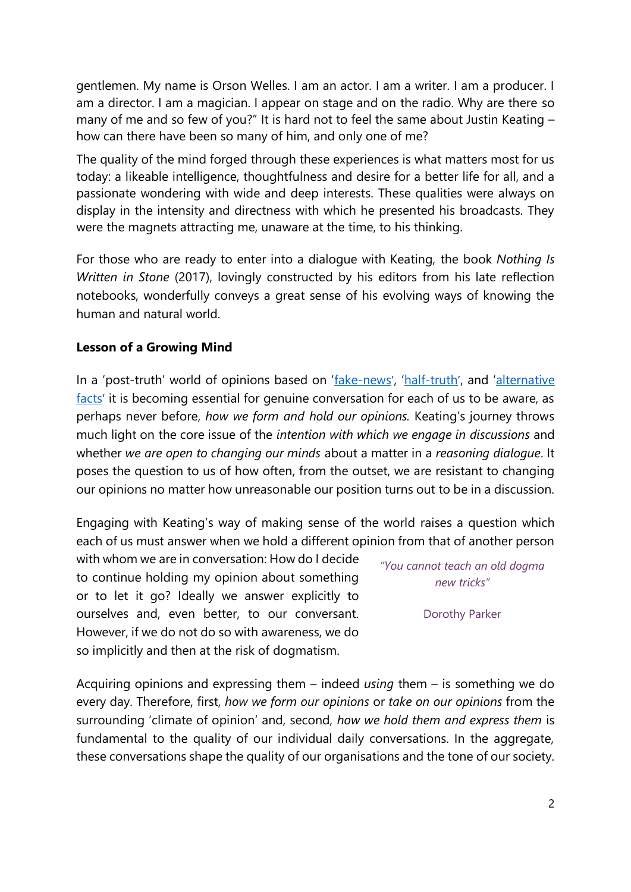gentlemen. My name is Orson Welles. I am an actor. I am a writer. I am a producer. I am a director. I am a magician. I appear on stage and on the radio. Why are there so many of me and so few of you?" It is hard not to feel the same about Justin Keating – how can there have been so many of him, and only one of me?

The quality of the mind forged through these experiences is what matters most for us today: a likeable intelligence, thoughtfulness and desire for a better life for all, and a passionate wondering with wide and deep interests. These qualities were always on display in the intensity and directness with which he presented his broadcasts. They were the magnets attracting me, unaware at the time, to his thinking.

For those who are ready to enter into a dialogue with Keating, the book *Nothing Is Written in Stone* (2017), lovingly constructed by his editors from his late reflection notebooks, wonderfully conveys a great sense of his evolving ways of knowing the human and natural world.

## **Lesson of a Growing Mind**

In a 'post-truth' world of opinions based on '[fake-news](https://www.theguardian.com/commentisfree/2017/mar/08/forget-alternative-facts-the-trump-administration-is-giving-us-alternative-history?utm_source=esp&utm_medium=Email&utm_campaign=GU+Today+main+NEW+H+categories&utm_term=216539&subid=21241174&CMP=EMCNEWEML6619I2)', '[half-truth](http://www.timesofisrael.com/top-historians-take-down-livingstons-claim-that-hitler-supported-zionism/)', and 'alternative [facts](https://www.nytimes.com/2017/02/04/opinion/sunday/why-nobody-cares-the-president-is-lying.html?smprod=nytcore-ipad&smid=nytcore-ipad-share&_r=0)' it is becoming essential for genuine conversation for each of us to be aware, as perhaps never before, *how we form and hold our opinions.* Keating's journey throws much light on the core issue of the *intention with which we engage in discussions* and whether *we are open to changing our minds* about a matter in a *reasoning dialogue*. It poses the question to us of how often, from the outset, we are resistant to changing our opinions no matter how unreasonable our position turns out to be in a discussion.

Engaging with Keating's way of making sense of the world raises a question which each of us must answer when we hold a different opinion from that of another person

with whom we are in conversation: How do I decide to continue holding my opinion about something or to let it go? Ideally we answer explicitly to ourselves and, even better, to our conversant. However, if we do not do so with awareness, we do so implicitly and then at the risk of dogmatism.

*"You cannot teach an old dogma new tricks"*

Dorothy Parker

Acquiring opinions and expressing them – indeed *using* them – is something we do every day. Therefore, first, *how we form our opinions* or *take on our opinions* from the surrounding 'climate of opinion' and, second, *how we hold them and express them* is fundamental to the quality of our individual daily conversations. In the aggregate, these conversations shape the quality of our organisations and the tone of our society.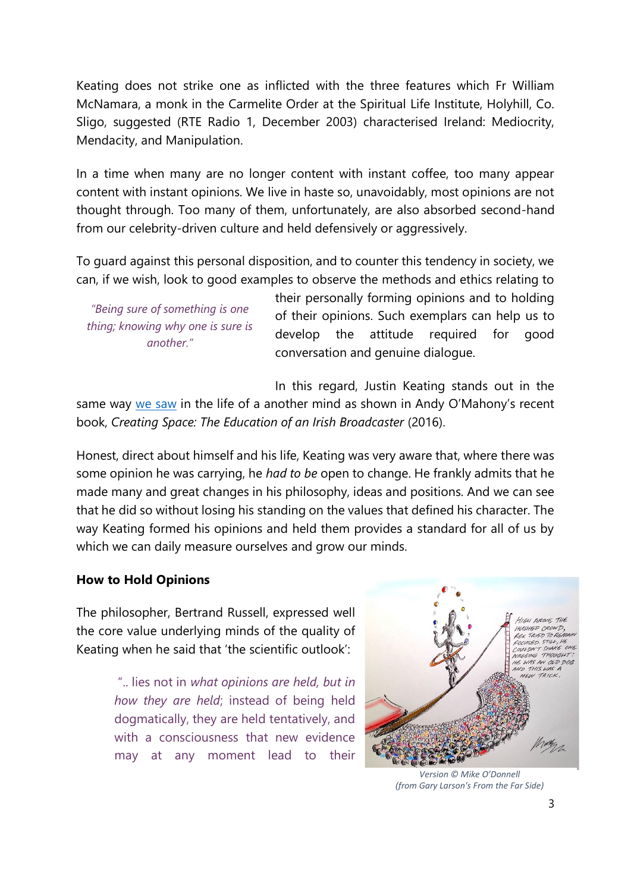Keating does not strike one as inflicted with the three features which Fr William McNamara, a monk in the Carmelite Order at the Spiritual Life Institute, Holyhill, Co. Sligo, suggested (RTE Radio 1, December 2003) characterised Ireland: Mediocrity, Mendacity, and Manipulation.

In a time when many are no longer content with instant coffee, too many appear content with instant opinions. We live in haste so, unavoidably, most opinions are not thought through. Too many of them, unfortunately, are also absorbed second-hand from our celebrity-driven culture and held defensively or aggressively.

To guard against this personal disposition, and to counter this tendency in society, we can, if we wish, look to good examples to observe the methods and ethics relating to

*"Being sure of something is one thing; knowing why one is sure is another."*

their personally forming opinions and to holding of their opinions. Such exemplars can help us to develop the attitude required for good conversation and genuine dialogue.

In this regard, Justin Keating stands out in the same way [we saw](http://keynescentre.ie/wp-content/uploads/2021/11/A-Good-Read-from-a-Good-Reader.pdf) in the life of a another mind as shown in Andy O'Mahony's recent book, *Creating Space: The Education of an Irish Broadcaster* (2016).

Honest, direct about himself and his life, Keating was very aware that, where there was some opinion he was carrying, he *had to be* open to change. He frankly admits that he made many and great changes in his philosophy, ideas and positions. And we can see that he did so without losing his standing on the values that defined his character. The way Keating formed his opinions and held them provides a standard for all of us by which we can daily measure ourselves and grow our minds.

## **How to Hold Opinions**

The philosopher, Bertrand Russell, expressed well the core value underlying minds of the quality of Keating when he said that 'the scientific outlook':

> ".. lies not in *what opinions are held, but in how they are held*; instead of being held dogmatically, they are held tentatively, and with a consciousness that new evidence may at any moment lead to their



*Version © Mike O'Donnell (from Gary Larson's From the Far Side)*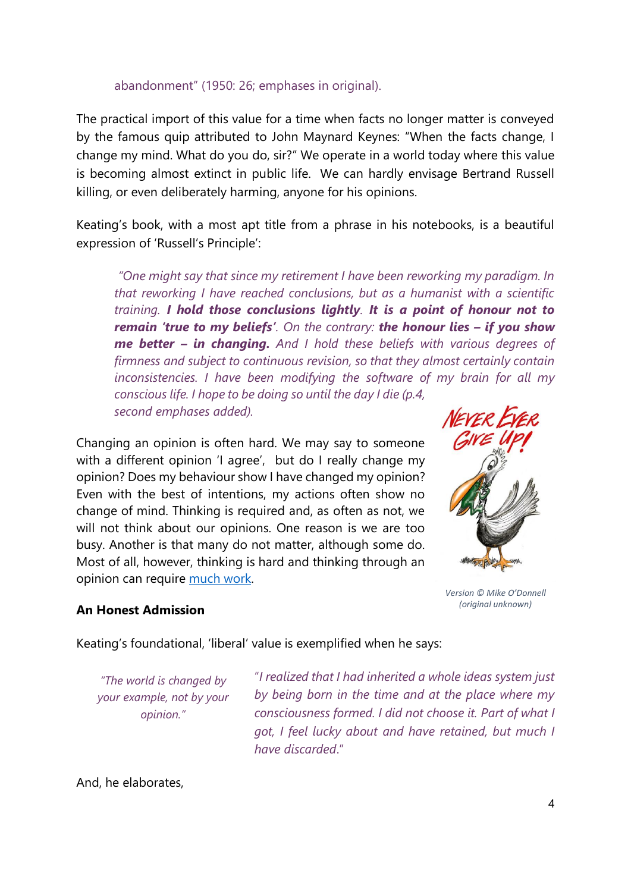#### abandonment" (1950: 26; emphases in original).

The practical import of this value for a time when facts no longer matter is conveyed by the famous quip attributed to John Maynard Keynes: "When the facts change, I change my mind. What do you do, sir?" We operate in a world today where this value is becoming almost extinct in public life. We can hardly envisage Bertrand Russell killing, or even deliberately harming, anyone for his opinions.

Keating's book, with a most apt title from a phrase in his notebooks, is a beautiful expression of 'Russell's Principle':

*"One might say that since my retirement I have been reworking my paradigm. In that reworking I have reached conclusions, but as a humanist with a scientific training. I hold those conclusions lightly. It is a point of honour not to remain 'true to my beliefs'. On the contrary: the honour lies – if you show me better – in changing. And I hold these beliefs with various degrees of firmness and subject to continuous revision, so that they almost certainly contain inconsistencies. I have been modifying the software of my brain for all my conscious life. I hope to be doing so until the day I die (p.4, second emphases added).* 

Changing an opinion is often hard. We may say to someone with a different opinion 'I agree', but do I really change my opinion? Does my behaviour show I have changed my opinion? Even with the best of intentions, my actions often show no change of mind. Thinking is required and, as often as not, we will not think about our opinions. One reason is we are too busy. Another is that many do not matter, although some do. Most of all, however, thinking is hard and thinking through an opinion can require [much](https://www.ucc.ie/en/media/research/keynes/pdfdocuments/On-Forming-and-Holding-Opinions-A-Case-Study.pdf) work.



*Version © Mike O'Donnell (original unknown)*

## **An Honest Admission**

Keating's foundational, 'liberal' value is exemplified when he says:

*"The world is changed by your example, not by your opinion."*

"*I realized that I had inherited a whole ideas system just by being born in the time and at the place where my consciousness formed. I did not choose it. Part of what I got, I feel lucky about and have retained, but much I have discarded*."

And, he elaborates,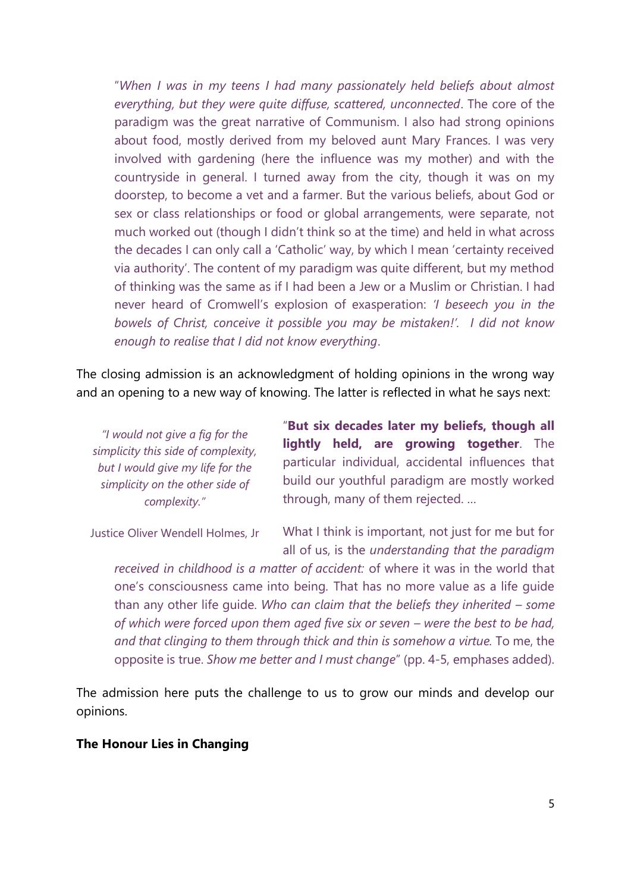"*When I was in my teens I had many passionately held beliefs about almost everything, but they were quite diffuse, scattered, unconnected*. The core of the paradigm was the great narrative of Communism. I also had strong opinions about food, mostly derived from my beloved aunt Mary Frances. I was very involved with gardening (here the influence was my mother) and with the countryside in general. I turned away from the city, though it was on my doorstep, to become a vet and a farmer. But the various beliefs, about God or sex or class relationships or food or global arrangements, were separate, not much worked out (though I didn't think so at the time) and held in what across the decades I can only call a 'Catholic' way, by which I mean 'certainty received via authority'. The content of my paradigm was quite different, but my method of thinking was the same as if I had been a Jew or a Muslim or Christian. I had never heard of Cromwell's explosion of exasperation: *'I beseech you in the bowels of Christ, conceive it possible you may be mistaken!'. I did not know enough to realise that I did not know everything*.

The closing admission is an acknowledgment of holding opinions in the wrong way and an opening to a new way of knowing. The latter is reflected in what he says next:

*"I would not give a fig for the simplicity this side of complexity, but I would give my life for the simplicity on the other side of complexity."*

"**But six decades later my beliefs, though all lightly held, are growing together**. The particular individual, accidental influences that build our youthful paradigm are mostly worked through, many of them rejected. …

Justice Oliver Wendell Holmes, Jr

What I think is important, not just for me but for all of us, is the *understanding that the paradigm* 

*received in childhood is a matter of accident:* of where it was in the world that one's consciousness came into being. That has no more value as a life guide than any other life guide. *Who can claim that the beliefs they inherited – some of which were forced upon them aged five six or seven – were the best to be had, and that clinging to them through thick and thin is somehow a virtue.* To me, the opposite is true. *Show me better and I must change*" (pp. 4-5, emphases added).

The admission here puts the challenge to us to grow our minds and develop our opinions.

## **The Honour Lies in Changing**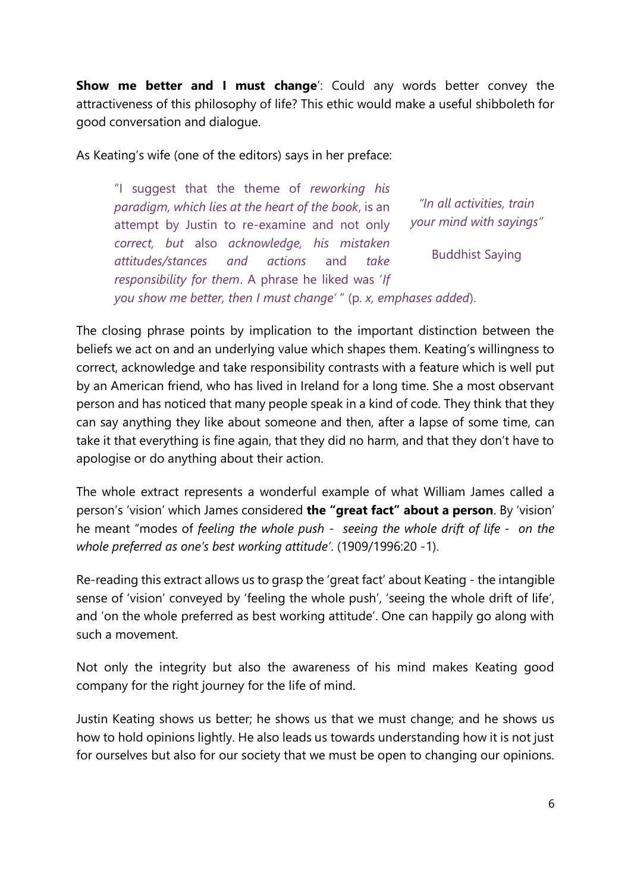**Show me better and I must change**': Could any words better convey the attractiveness of this philosophy of life? This ethic would make a useful shibboleth for good conversation and dialogue.

As Keating's wife (one of the editors) says in her preface:

"I suggest that the theme of *reworking his paradigm, which lies at the heart of the book*, is an attempt by Justin to re-examine and not only *correct, but* also *acknowledge, his mistaken attitudes/stances and actions* and *take responsibility for them*. A phrase he liked was '*If you show me better, then I must change'* " (p. *x, emphases added*). *"In all activities, train your mind with sayings"* Buddhist Saying

The closing phrase points by implication to the important distinction between the beliefs we act on and an underlying value which shapes them. Keating's willingness to correct, acknowledge and take responsibility contrasts with a feature which is well put by an American friend, who has lived in Ireland for a long time. She a most observant person and has noticed that many people speak in a kind of code. They think that they can say anything they like about someone and then, after a lapse of some time, can take it that everything is fine again, that they did no harm, and that they don't have to apologise or do anything about their action.

The whole extract represents a wonderful example of what William James called a person's 'vision' which James considered **the "great fact" about a person**. By 'vision' he meant "modes of *feeling the whole push* - *seeing the whole drift of life* - *on the whole preferred as one's best working attitude'*. (1909/1996:20 -1).

Re-reading this extract allows us to grasp the 'great fact' about Keating - the intangible sense of 'vision' conveyed by 'feeling the whole push', 'seeing the whole drift of life', and 'on the whole preferred as best working attitude'. One can happily go along with such a movement.

Not only the integrity but also the awareness of his mind makes Keating good company for the right journey for the life of mind.

Justin Keating shows us better; he shows us that we must change; and he shows us how to hold opinions lightly. He also leads us towards understanding how it is not just for ourselves but also for our society that we must be open to changing our opinions.